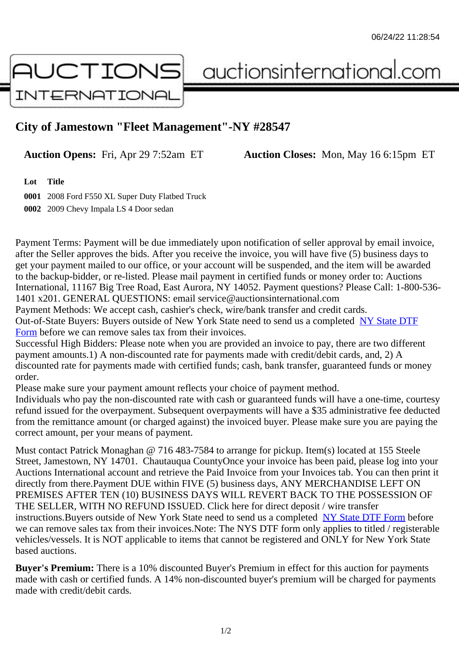## City of Jamestown "Fleet Management"-NY #28547

Auction Opens: Fri, Apr 29 7:52am ET Auction Closes: Mon, May 16 6:15pm ET

Lot Title

0001 2008 Ford F550 XL Super Duty Flatbed Truck 0002 2009 Chevy Impala LS 4 Door sedan

Payment Terms: Payment will be due immediately upon notification of seller approval by email invoice, after the Seller approves the bids. After you receive the invoice, you will have five (5) business days to get your payment mailed to our office, or your account will be suspended, and the item will be awarded to the backup-bidder, or re-listed. Please mail payment in certified funds or money order to: Auctions International, 11167 Big Tree Road, East Aurora, NY 14052. Payment questions? Please Call: 1-800-53 1401 x201. GENERAL QUESTIONS: email service@auctionsinternational.com

Payment Methods: We accept cash, cashier's check, wire/bank transfer and credit cards. Out-of-State Buyers: Buyers outside of New York State need to send us a com blestate DTF Form before we can remove sales tax from their invoices.

Successful High Bidders: Please note when you are provided an invoice to pay, there are two different payment amounts.1) A non-discounted rate for payments made with credit/de[bit cards, and](https://www.auctionsinternational.com/auxiliary/downloads/DTF_Form/dtf_fill_in.pdf), 2) A [disco](https://www.auctionsinternational.com/auxiliary/downloads/DTF_Form/dtf_fill_in.pdf)unted rate for payments made with certified funds; cash, bank transfer, guaranteed funds or mone order.

Please make sure your payment amount reflects your choice of payment method.

Individuals who pay the non-discounted rate with cash or quaranteed funds will have a one-time, courte refund issued for the overpayment. Subsequent overpayments will have a \$35 administrative fee deduc from the remittance amount (or charged against) the invoiced buyer. Please make sure you are paying correct amount, per your means of payment.

Must contact Patrick Monaghan @ 716 483-7584 to arrange for pickup. Item(s) located at 155 Steele Street, Jamestown, NY 14701. Chautauqua CountyOnce your invoice has been paid, please log into your Auctions International account and retrieve the Paid Invoice from your Invoices tab. You can then print it directly from there.Payment DUE within FIVE (5) business days, ANY MERCHANDISE LEFT ON PREMISES AFTER TEN (10) BUSINESS DAYS WILL REVERT BACK TO THE POSSESSION OF THE SELLER, WITH NO REFUND ISSUED. Click here for direct deposit / wire transfer instructions. Buyers outside of New York State need to send us a combletedate DTF Form before we can remove sales tax from their invoices.Note: The NYS DTF form only applies to titled / registerabl vehicles/vessels. It is NOT applicable to items that cannot be registered and ONLY for New York State based auctions.

Buyer's Premium: There is a 10% discounted Buyer's Premium in effect for this auction for payments made with cash or certified funds. A 14% non-discounted buyer's premium will be charged for payments made with credit/debit cards.